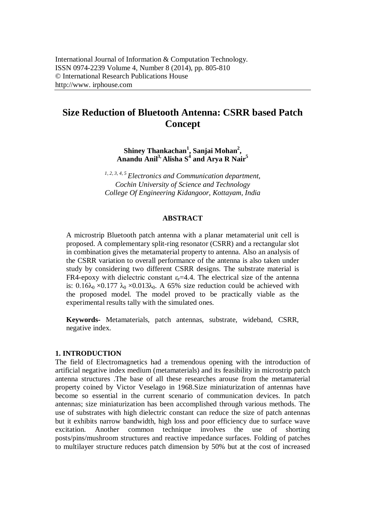# **Size Reduction of Bluetooth Antenna: CSRR based Patch Concept**

**Shiney Thankachan<sup>1</sup> , Sanjai Mohan<sup>2</sup> , Anandu Anil3, Alisha S<sup>4</sup> and Arya R Nair<sup>5</sup>**

*1, 2, 3, 4, 5 Electronics and Communication department, Cochin University of Science and Technology College Of Engineering Kidangoor, Kottayam, India*

#### **ABSTRACT**

A microstrip Bluetooth patch antenna with a planar metamaterial unit cell is proposed. A complementary split-ring resonator (CSRR) and a rectangular slot in combination gives the metamaterial property to antenna. Also an analysis of the CSRR variation to overall performance of the antenna is also taken under study by considering two different CSRR designs. The substrate material is FR4-epoxy with dielectric constant  $\varepsilon$ -4.4. The electrical size of the antenna is:  $0.16\lambda_0 \times 0.177 \lambda_0 \times 0.013\lambda_0$ . A 65% size reduction could be achieved with the proposed model. The model proved to be practically viable as the experimental results tally with the simulated ones.

**Keywords-** Metamaterials, patch antennas, substrate, wideband, CSRR, negative index.

## **1. INTRODUCTION**

The field of Electromagnetics had a tremendous opening with the introduction of artificial negative index medium (metamaterials) and its feasibility in microstrip patch antenna structures .The base of all these researches arouse from the metamaterial property coined by Victor Veselago in 1968.Size miniaturization of antennas have become so essential in the current scenario of communication devices. In patch antennas; size miniaturization has been accomplished through various methods. The use of substrates with high dielectric constant can reduce the size of patch antennas but it exhibits narrow bandwidth, high loss and poor efficiency due to surface wave excitation. Another common technique involves the use of shorting posts/pins/mushroom structures and reactive impedance surfaces. Folding of patches to multilayer structure reduces patch dimension by 50% but at the cost of increased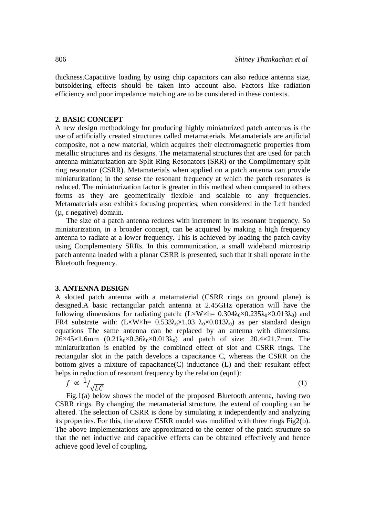thickness.Capacitive loading by using chip capacitors can also reduce antenna size, butsoldering effects should be taken into account also. Factors like radiation efficiency and poor impedance matching are to be considered in these contexts.

# **2. BASIC CONCEPT**

A new design methodology for producing highly miniaturized patch antennas is the use of artificially created structures called metamaterials. Metamaterials are artificial composite, not a new material, which acquires their electromagnetic properties from metallic structures and its designs. The metamaterial structures that are used for patch antenna miniaturization are Split Ring Resonators (SRR) or the Complimentary split ring resonator (CSRR). Metamaterials when applied on a patch antenna can provide miniaturization; in the sense the resonant frequency at which the patch resonates is reduced. The miniaturization factor is greater in this method when compared to others forms as they are geometrically flexible and scalable to any frequencies. Metamaterials also exhibits focusing properties, when considered in the Left handed (µ, ε negative) domain.

The size of a patch antenna reduces with increment in its resonant frequency. So miniaturization, in a broader concept, can be acquired by making a high frequency antenna to radiate at a lower frequency. This is achieved by loading the patch cavity using Complementary SRRs. In this communication, a small wideband microstrip patch antenna loaded with a planar CSRR is presented, such that it shall operate in the Bluetooth frequency.

#### **3. ANTENNA DESIGN**

A slotted patch antenna with a metamaterial (CSRR rings on ground plane) is designed.A basic rectangular patch antenna at 2.45GHz operation will have the following dimensions for radiating patch:  $(L \times W \times h = 0.304 \lambda_0 \times 0.235 \lambda_0 \times 0.013 \lambda_0)$  and FR4 substrate with:  $(L \times W \times h = 0.533\lambda_0 \times 1.03 \lambda_0 \times 0.013\lambda_0)$  as per standard design equations The same antenna can be replaced by an antenna with dimensions:  $26\times45\times1.6$ mm  $(0.21\lambda_0\times0.36\lambda_0\times0.013\lambda_0)$  and patch of size:  $20.4\times21.7$ mm. The miniaturization is enabled by the combined effect of slot and CSRR rings. The rectangular slot in the patch develops a capacitance C, whereas the CSRR on the bottom gives a mixture of capacitance(C) inductance (L) and their resultant effect helps in reduction of resonant frequency by the relation (eqn1):

$$
f \propto \frac{1}{\sqrt{LC}} \tag{1}
$$

Fig.1(a) below shows the model of the proposed Bluetooth antenna, having two CSRR rings. By changing the metamaterial structure, the extend of coupling can be altered. The selection of CSRR is done by simulating it independently and analyzing its properties. For this, the above CSRR model was modified with three rings Fig2(b). The above implementations are approximated to the center of the patch structure so that the net inductive and capacitive effects can be obtained effectively and hence achieve good level of coupling.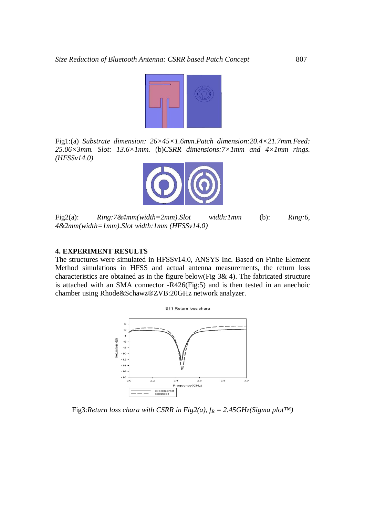

Fig1:(a) *Substrate dimension: 26×45×1.6mm.Patch dimension:20.4×21.7mm.Feed: 25.06×3mm. Slot: 13.6×1mm.* (b)*CSRR dimensions:7×1mm and 4×1mm rings. (HFSSv14.0)*



Fig2(a): *Ring:7&4mm(width=2mm).Slot width:1mm* (b): *Ring:6, 4&2mm(width=1mm).Slot width:1mm (HFSSv14.0)*

## **4. EXPERIMENT RESULTS**

The structures were simulated in HFSSv14.0, ANSYS Inc. Based on Finite Element Method simulations in HFSS and actual antenna measurements, the return loss characteristics are obtained as in the figure below(Fig 3& 4). The fabricated structure is attached with an SMA connector -R426(Fig:5) and is then tested in an anechoic chamber using Rhode&Schawz®ZVB:20GHz network analyzer.



Fig3:*Return loss chara with CSRR in Fig2(a), f<sup>R</sup> = 2.45GHz(Sigma plot™)*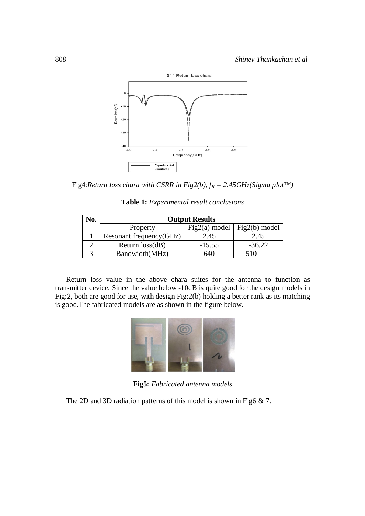

Fig4:*Return loss chara with CSRR in Fig2(b), f<sup>R</sup> = 2.45GHz(Sigma plot™)*

| No. | <b>Output Results</b>   |                       |                         |
|-----|-------------------------|-----------------------|-------------------------|
|     | Property                | Fig2(a) model $\vert$ | $Fig2(b) \text{ model}$ |
|     | Resonant frequency(GHz) | 2.45                  | 2.45                    |
|     | Return $loss(dB)$       | $-15.55$              | $-36.22$                |
|     | Bandwidth(MHz)          | 640                   | 510                     |

Return loss value in the above chara suites for the antenna to function as transmitter device. Since the value below -10dB is quite good for the design models in Fig:2, both are good for use, with design Fig:2(b) holding a better rank as its matching is good.The fabricated models are as shown in the figure below.



**Fig5:** *Fabricated antenna models*

The 2D and 3D radiation patterns of this model is shown in Fig6 & 7.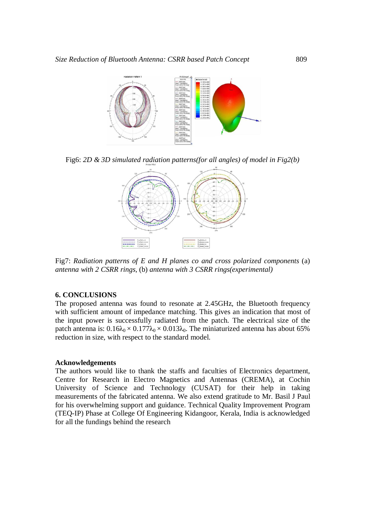

Fig6: *2D & 3D simulated radiation patterns(for all angles) of model in Fig2(b)*



Fig7: *Radiation patterns of E and H planes co and cross polarized components* (a) *antenna with 2 CSRR rings,* (b) *antenna with 3 CSRR rings(experimental)*

# **6. CONCLUSIONS**

The proposed antenna was found to resonate at 2.45GHz, the Bluetooth frequency with sufficient amount of impedance matching. This gives an indication that most of the input power is successfully radiated from the patch. The electrical size of the patch antenna is:  $0.16\lambda_0 \times 0.177\lambda_0 \times 0.013\lambda_0$ . The miniaturized antenna has about 65% reduction in size, with respect to the standard model.

#### **Acknowledgements**

The authors would like to thank the staffs and faculties of Electronics department, Centre for Research in Electro Magnetics and Antennas (CREMA), at Cochin University of Science and Technology (CUSAT) for their help in taking measurements of the fabricated antenna. We also extend gratitude to Mr. Basil J Paul for his overwhelming support and guidance. Technical Quality Improvement Program (TEQ-IP) Phase at College Of Engineering Kidangoor, Kerala, India is acknowledged for all the fundings behind the research